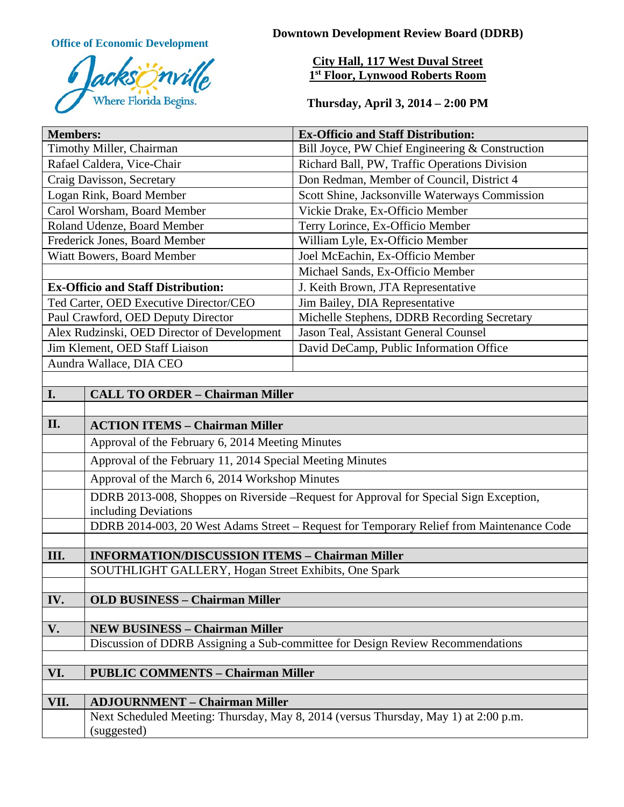

**Office of Economic Development Downtown Development Review Board (DDRB)** 

# **City Hall, 117 West Duval Street 1st Floor, Lynwood Roberts Room**

**Thursday, April 3, 2014 – 2:00 PM**

| <b>Members:</b>                                 |                                                                                                               | <b>Ex-Officio and Staff Distribution:</b>       |
|-------------------------------------------------|---------------------------------------------------------------------------------------------------------------|-------------------------------------------------|
| Timothy Miller, Chairman                        |                                                                                                               | Bill Joyce, PW Chief Engineering & Construction |
| Rafael Caldera, Vice-Chair                      |                                                                                                               | Richard Ball, PW, Traffic Operations Division   |
| Craig Davisson, Secretary                       |                                                                                                               | Don Redman, Member of Council, District 4       |
| Logan Rink, Board Member                        |                                                                                                               | Scott Shine, Jacksonville Waterways Commission  |
| Carol Worsham, Board Member                     |                                                                                                               | Vickie Drake, Ex-Officio Member                 |
| Roland Udenze, Board Member                     |                                                                                                               | Terry Lorince, Ex-Officio Member                |
| Frederick Jones, Board Member                   |                                                                                                               | William Lyle, Ex-Officio Member                 |
| Wiatt Bowers, Board Member                      |                                                                                                               | Joel McEachin, Ex-Officio Member                |
|                                                 |                                                                                                               | Michael Sands, Ex-Officio Member                |
| <b>Ex-Officio and Staff Distribution:</b>       |                                                                                                               | J. Keith Brown, JTA Representative              |
| Ted Carter, OED Executive Director/CEO          |                                                                                                               | Jim Bailey, DIA Representative                  |
| Paul Crawford, OED Deputy Director              |                                                                                                               | Michelle Stephens, DDRB Recording Secretary     |
| Alex Rudzinski, OED Director of Development     |                                                                                                               | Jason Teal, Assistant General Counsel           |
| Jim Klement, OED Staff Liaison                  |                                                                                                               | David DeCamp, Public Information Office         |
|                                                 | Aundra Wallace, DIA CEO                                                                                       |                                                 |
|                                                 |                                                                                                               |                                                 |
| I.                                              | <b>CALL TO ORDER - Chairman Miller</b>                                                                        |                                                 |
|                                                 |                                                                                                               |                                                 |
| II.                                             | <b>ACTION ITEMS - Chairman Miller</b>                                                                         |                                                 |
|                                                 | Approval of the February 6, 2014 Meeting Minutes                                                              |                                                 |
|                                                 | Approval of the February 11, 2014 Special Meeting Minutes                                                     |                                                 |
|                                                 | Approval of the March 6, 2014 Workshop Minutes                                                                |                                                 |
|                                                 | DDRB 2013-008, Shoppes on Riverside -Request for Approval for Special Sign Exception,<br>including Deviations |                                                 |
|                                                 | DDRB 2014-003, 20 West Adams Street - Request for Temporary Relief from Maintenance Code                      |                                                 |
|                                                 |                                                                                                               |                                                 |
| III.                                            | <b>INFORMATION/DISCUSSION ITEMS - Chairman Miller</b>                                                         |                                                 |
|                                                 | SOUTHLIGHT GALLERY, Hogan Street Exhibits, One Spark                                                          |                                                 |
| IV.                                             | <b>OLD BUSINESS - Chairman Miller</b>                                                                         |                                                 |
|                                                 |                                                                                                               |                                                 |
| V.                                              | <b>NEW BUSINESS - Chairman Miller</b>                                                                         |                                                 |
|                                                 | Discussion of DDRB Assigning a Sub-committee for Design Review Recommendations                                |                                                 |
|                                                 |                                                                                                               |                                                 |
| VI.<br><b>PUBLIC COMMENTS - Chairman Miller</b> |                                                                                                               |                                                 |
|                                                 |                                                                                                               |                                                 |
| VII.                                            | <b>ADJOURNMENT - Chairman Miller</b>                                                                          |                                                 |
|                                                 | Next Scheduled Meeting: Thursday, May 8, 2014 (versus Thursday, May 1) at 2:00 p.m.                           |                                                 |
|                                                 | (suggested)                                                                                                   |                                                 |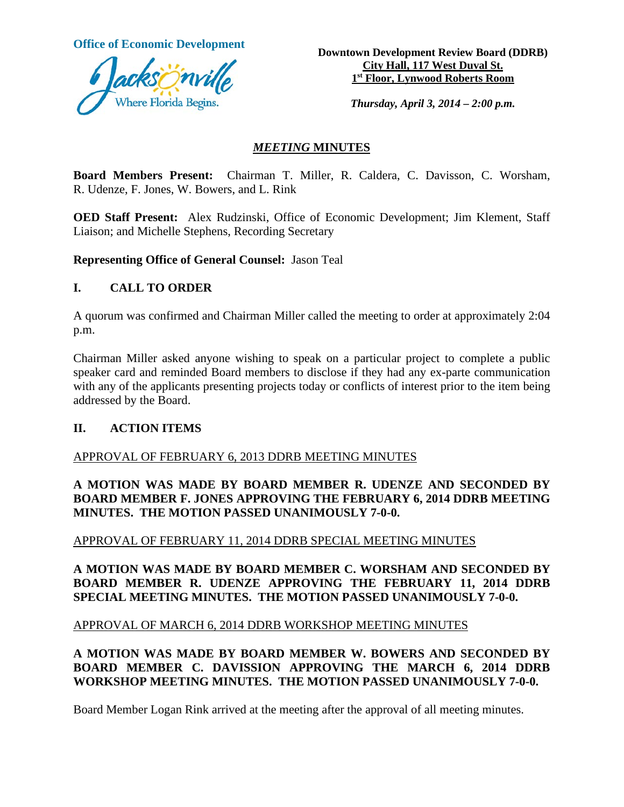

**Office of Economic Development**<br> **Downtown Development Review Board (DDRB) City Hall, 117 West Duval St. 1st Floor, Lynwood Roberts Room**

*Thursday, April 3, 2014 – 2:00 p.m.*

## *MEETING* **MINUTES**

**Board Members Present:** Chairman T. Miller, R. Caldera, C. Davisson, C. Worsham, R. Udenze, F. Jones, W. Bowers, and L. Rink

**OED Staff Present:** Alex Rudzinski, Office of Economic Development; Jim Klement, Staff Liaison; and Michelle Stephens, Recording Secretary

**Representing Office of General Counsel:** Jason Teal

## **I. CALL TO ORDER**

A quorum was confirmed and Chairman Miller called the meeting to order at approximately 2:04 p.m.

Chairman Miller asked anyone wishing to speak on a particular project to complete a public speaker card and reminded Board members to disclose if they had any ex-parte communication with any of the applicants presenting projects today or conflicts of interest prior to the item being addressed by the Board.

### **II. ACTION ITEMS**

### APPROVAL OF FEBRUARY 6, 2013 DDRB MEETING MINUTES

## **A MOTION WAS MADE BY BOARD MEMBER R. UDENZE AND SECONDED BY BOARD MEMBER F. JONES APPROVING THE FEBRUARY 6, 2014 DDRB MEETING MINUTES. THE MOTION PASSED UNANIMOUSLY 7-0-0.**

## APPROVAL OF FEBRUARY 11, 2014 DDRB SPECIAL MEETING MINUTES

**A MOTION WAS MADE BY BOARD MEMBER C. WORSHAM AND SECONDED BY BOARD MEMBER R. UDENZE APPROVING THE FEBRUARY 11, 2014 DDRB SPECIAL MEETING MINUTES. THE MOTION PASSED UNANIMOUSLY 7-0-0.** 

### APPROVAL OF MARCH 6, 2014 DDRB WORKSHOP MEETING MINUTES

## **A MOTION WAS MADE BY BOARD MEMBER W. BOWERS AND SECONDED BY BOARD MEMBER C. DAVISSION APPROVING THE MARCH 6, 2014 DDRB WORKSHOP MEETING MINUTES. THE MOTION PASSED UNANIMOUSLY 7-0-0.**

Board Member Logan Rink arrived at the meeting after the approval of all meeting minutes.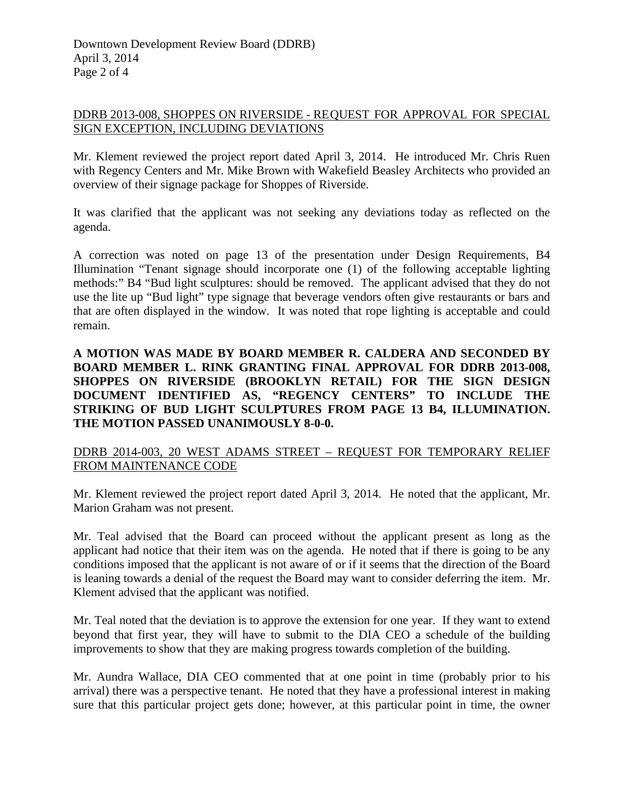## DDRB 2013-008, SHOPPES ON RIVERSIDE - REQUEST FOR APPROVAL FOR SPECIAL SIGN EXCEPTION, INCLUDING DEVIATIONS

Mr. Klement reviewed the project report dated April 3, 2014. He introduced Mr. Chris Ruen with Regency Centers and Mr. Mike Brown with Wakefield Beasley Architects who provided an overview of their signage package for Shoppes of Riverside.

It was clarified that the applicant was not seeking any deviations today as reflected on the agenda.

A correction was noted on page 13 of the presentation under Design Requirements, B4 Illumination "Tenant signage should incorporate one (1) of the following acceptable lighting methods:" B4 "Bud light sculptures: should be removed. The applicant advised that they do not use the lite up "Bud light" type signage that beverage vendors often give restaurants or bars and that are often displayed in the window. It was noted that rope lighting is acceptable and could remain.

**A MOTION WAS MADE BY BOARD MEMBER R. CALDERA AND SECONDED BY BOARD MEMBER L. RINK GRANTING FINAL APPROVAL FOR DDRB 2013-008, SHOPPES ON RIVERSIDE (BROOKLYN RETAIL) FOR THE SIGN DESIGN DOCUMENT IDENTIFIED AS, "REGENCY CENTERS" TO INCLUDE THE STRIKING OF BUD LIGHT SCULPTURES FROM PAGE 13 B4, ILLUMINATION. THE MOTION PASSED UNANIMOUSLY 8-0-0.**

## DDRB 2014-003, 20 WEST ADAMS STREET – REQUEST FOR TEMPORARY RELIEF FROM MAINTENANCE CODE

Mr. Klement reviewed the project report dated April 3, 2014. He noted that the applicant, Mr. Marion Graham was not present.

Mr. Teal advised that the Board can proceed without the applicant present as long as the applicant had notice that their item was on the agenda. He noted that if there is going to be any conditions imposed that the applicant is not aware of or if it seems that the direction of the Board is leaning towards a denial of the request the Board may want to consider deferring the item. Mr. Klement advised that the applicant was notified.

Mr. Teal noted that the deviation is to approve the extension for one year. If they want to extend beyond that first year, they will have to submit to the DIA CEO a schedule of the building improvements to show that they are making progress towards completion of the building.

Mr. Aundra Wallace, DIA CEO commented that at one point in time (probably prior to his arrival) there was a perspective tenant. He noted that they have a professional interest in making sure that this particular project gets done; however, at this particular point in time, the owner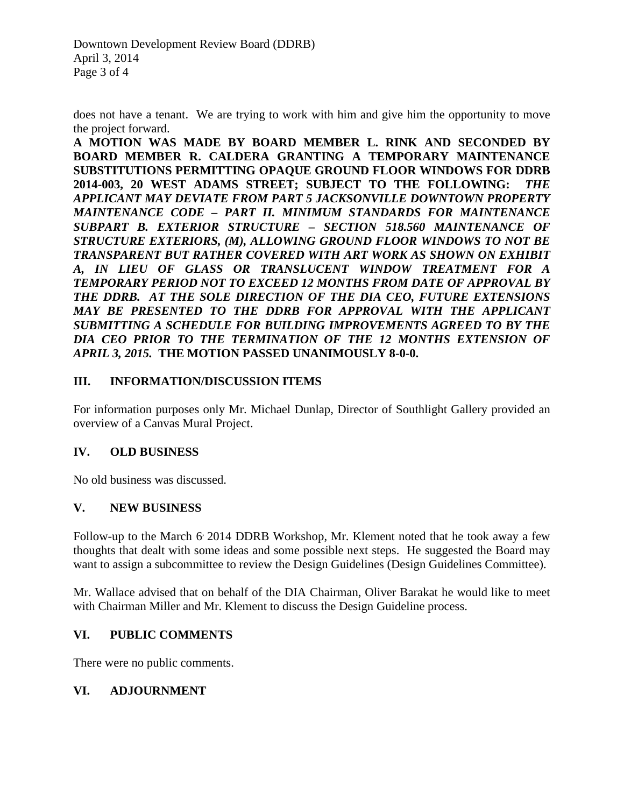Downtown Development Review Board (DDRB) April 3, 2014 Page 3 of 4

does not have a tenant. We are trying to work with him and give him the opportunity to move the project forward.

**A MOTION WAS MADE BY BOARD MEMBER L. RINK AND SECONDED BY BOARD MEMBER R. CALDERA GRANTING A TEMPORARY MAINTENANCE SUBSTITUTIONS PERMITTING OPAQUE GROUND FLOOR WINDOWS FOR DDRB 2014-003, 20 WEST ADAMS STREET; SUBJECT TO THE FOLLOWING:** *THE APPLICANT MAY DEVIATE FROM PART 5 JACKSONVILLE DOWNTOWN PROPERTY MAINTENANCE CODE – PART II. MINIMUM STANDARDS FOR MAINTENANCE SUBPART B. EXTERIOR STRUCTURE – SECTION 518.560 MAINTENANCE OF STRUCTURE EXTERIORS, (M), ALLOWING GROUND FLOOR WINDOWS TO NOT BE TRANSPARENT BUT RATHER COVERED WITH ART WORK AS SHOWN ON EXHIBIT A, IN LIEU OF GLASS OR TRANSLUCENT WINDOW TREATMENT FOR A TEMPORARY PERIOD NOT TO EXCEED 12 MONTHS FROM DATE OF APPROVAL BY THE DDRB. AT THE SOLE DIRECTION OF THE DIA CEO, FUTURE EXTENSIONS MAY BE PRESENTED TO THE DDRB FOR APPROVAL WITH THE APPLICANT SUBMITTING A SCHEDULE FOR BUILDING IMPROVEMENTS AGREED TO BY THE*  DIA CEO PRIOR TO THE TERMINATION OF THE 12 MONTHS EXTENSION OF *APRIL 3, 2015.* **THE MOTION PASSED UNANIMOUSLY 8-0-0.**

## **III. INFORMATION/DISCUSSION ITEMS**

For information purposes only Mr. Michael Dunlap, Director of Southlight Gallery provided an overview of a Canvas Mural Project.

### **IV. OLD BUSINESS**

No old business was discussed.

### **V. NEW BUSINESS**

Follow-up to the March 6 2014 DDRB Workshop, Mr. Klement noted that he took away a few thoughts that dealt with some ideas and some possible next steps. He suggested the Board may want to assign a subcommittee to review the Design Guidelines (Design Guidelines Committee).

Mr. Wallace advised that on behalf of the DIA Chairman, Oliver Barakat he would like to meet with Chairman Miller and Mr. Klement to discuss the Design Guideline process.

### **VI. PUBLIC COMMENTS**

There were no public comments.

### **VI. ADJOURNMENT**